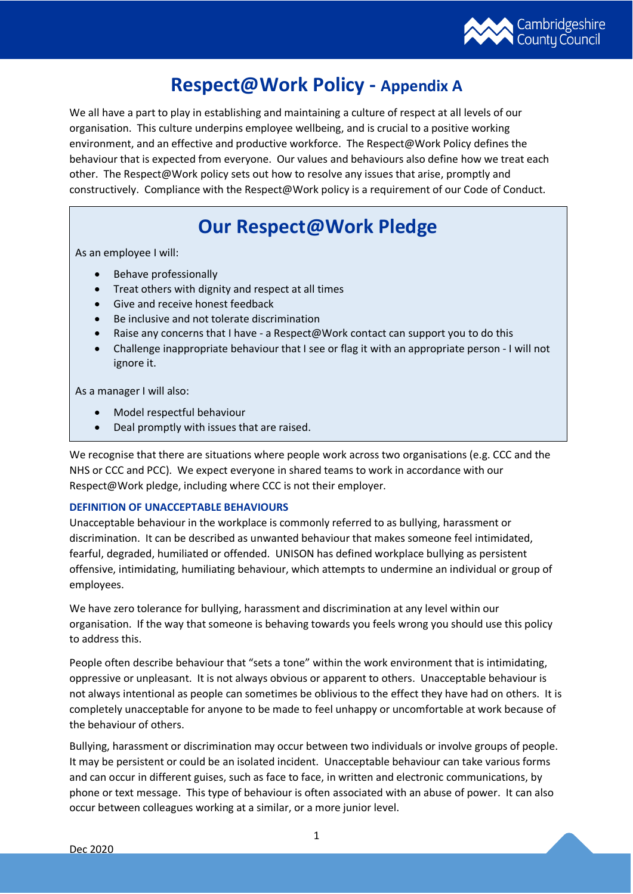

# **Respect@Work Policy - Appendix A**

We all have a part to play in establishing and maintaining a culture of respect at all levels of our organisation. This culture underpins employee wellbeing, and is crucial to a positive working environment, and an effective and productive workforce. The Respect@Work Policy defines the behaviour that is expected from everyone. Our values and behaviours also define how we treat each other. The Respect@Work policy sets out how to resolve any issues that arise, promptly and constructively. Compliance with the Respect@Work policy is a requirement of our Code of Conduct.

# **Our Respect@Work Pledge**

As an employee I will:

- Behave professionally
- Treat others with dignity and respect at all times
- Give and receive honest feedback
- Be inclusive and not tolerate discrimination
- Raise any concerns that I have a Respect@Work contact can support you to do this
- Challenge inappropriate behaviour that I see or flag it with an appropriate person I will not ignore it.

As a manager I will also:

- Model respectful behaviour
- Deal promptly with issues that are raised.

We recognise that there are situations where people work across two organisations (e.g. CCC and the NHS or CCC and PCC). We expect everyone in shared teams to work in accordance with our Respect@Work pledge, including where CCC is not their employer.

# **DEFINITION OF UNACCEPTABLE BEHAVIOURS**

Unacceptable behaviour in the workplace is commonly referred to as bullying, harassment or discrimination. It can be described as unwanted behaviour that makes someone feel intimidated, fearful, degraded, humiliated or offended. UNISON has defined workplace bullying as persistent offensive, intimidating, humiliating behaviour, which attempts to undermine an individual or group of employees.

We have zero tolerance for bullying, harassment and discrimination at any level within our organisation. If the way that someone is behaving towards you feels wrong you should use this policy to address this.

People often describe behaviour that "sets a tone" within the work environment that is intimidating, oppressive or unpleasant. It is not always obvious or apparent to others. Unacceptable behaviour is not always intentional as people can sometimes be oblivious to the effect they have had on others. It is completely unacceptable for anyone to be made to feel unhappy or uncomfortable at work because of the behaviour of others.

Bullying, harassment or discrimination may occur between two individuals or involve groups of people. It may be persistent or could be an isolated incident. Unacceptable behaviour can take various forms and can occur in different guises, such as face to face, in written and electronic communications, by phone or text message. This type of behaviour is often associated with an abuse of power. It can also occur between colleagues working at a similar, or a more junior level.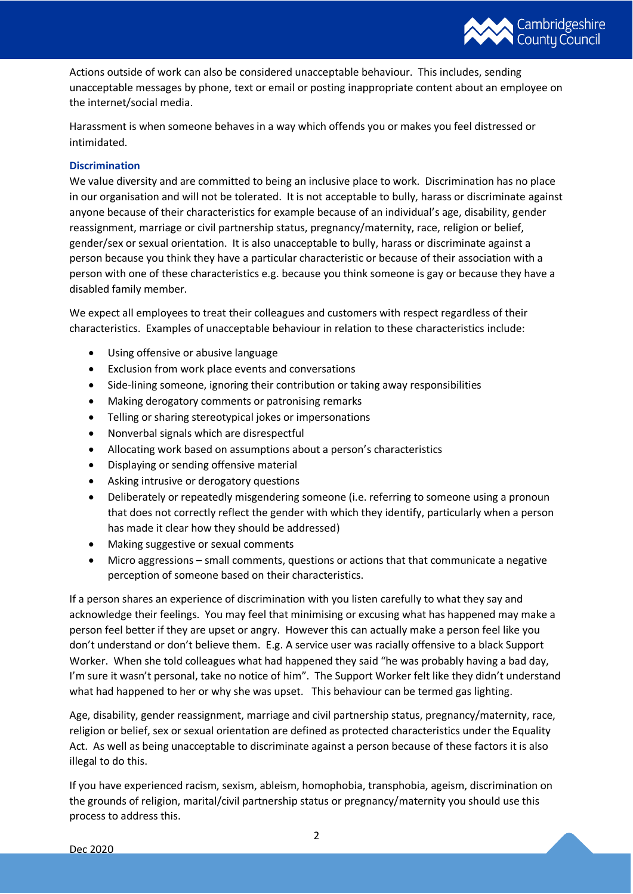

Actions outside of work can also be considered unacceptable behaviour. This includes, sending unacceptable messages by phone, text or email or posting inappropriate content about an employee on the internet/social media.

Harassment is when someone behaves in a way which offends you or makes you feel distressed or intimidated.

# **Discrimination**

We value diversity and are committed to being an inclusive place to work. Discrimination has no place in our organisation and will not be tolerated. It is not acceptable to bully, harass or discriminate against anyone because of their characteristics for example because of an individual's age, disability, gender reassignment, marriage or civil partnership status, pregnancy/maternity, race, religion or belief, gender/sex or sexual orientation. It is also unacceptable to bully, harass or discriminate against a person because you think they have a particular characteristic or because of their association with a person with one of these characteristics e.g. because you think someone is gay or because they have a disabled family member.

We expect all employees to treat their colleagues and customers with respect regardless of their characteristics. Examples of unacceptable behaviour in relation to these characteristics include:

- Using offensive or abusive language
- Exclusion from work place events and conversations
- Side-lining someone, ignoring their contribution or taking away responsibilities
- Making derogatory comments or patronising remarks
- Telling or sharing stereotypical jokes or impersonations
- Nonverbal signals which are disrespectful
- Allocating work based on assumptions about a person's characteristics
- Displaying or sending offensive material
- Asking intrusive or derogatory questions
- Deliberately or repeatedly misgendering someone (i.e. referring to someone using a pronoun that does not correctly reflect the gender with which they identify, particularly when a person has made it clear how they should be addressed)
- Making suggestive or sexual comments
- Micro aggressions small comments, questions or actions that that communicate a negative perception of someone based on their characteristics.

If a person shares an experience of discrimination with you listen carefully to what they say and acknowledge their feelings. You may feel that minimising or excusing what has happened may make a person feel better if they are upset or angry. However this can actually make a person feel like you don't understand or don't believe them. E.g. A service user was racially offensive to a black Support Worker. When she told colleagues what had happened they said "he was probably having a bad day, I'm sure it wasn't personal, take no notice of him". The Support Worker felt like they didn't understand what had happened to her or why she was upset. This behaviour can be termed gas lighting.

Age, disability, gender reassignment, marriage and civil partnership status, pregnancy/maternity, race, religion or belief, sex or sexual orientation are defined as protected characteristics under the Equality Act. As well as being unacceptable to discriminate against a person because of these factors it is also illegal to do this.

If you have experienced racism, sexism, ableism, homophobia, transphobia, ageism, discrimination on the grounds of religion, marital/civil partnership status or pregnancy/maternity you should use this process to address this.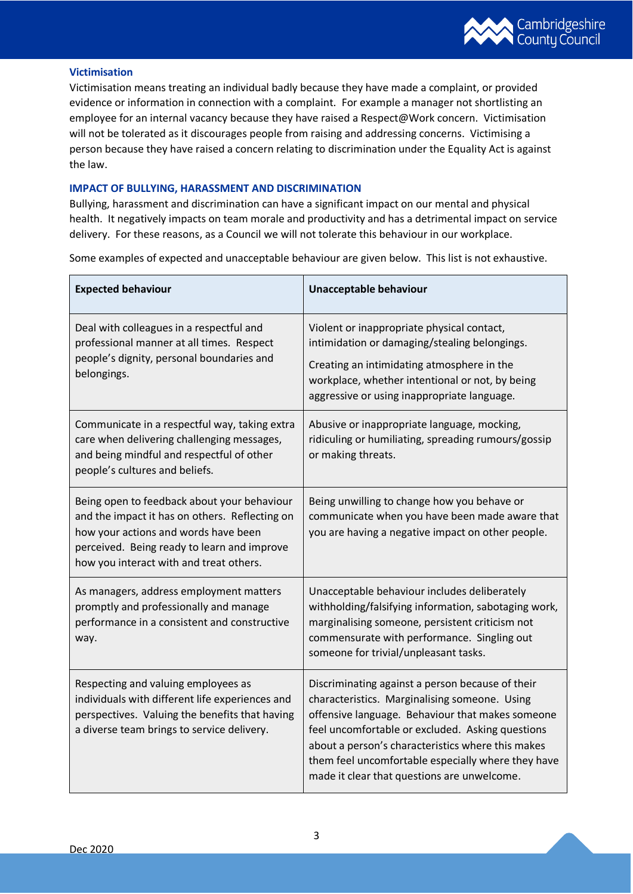

# **Victimisation**

Victimisation means treating an individual badly because they have made a complaint, or provided evidence or information in connection with a complaint. For example a manager not shortlisting an employee for an internal vacancy because they have raised a Respect@Work concern. Victimisation will not be tolerated as it discourages people from raising and addressing concerns. Victimising a person because they have raised a concern relating to discrimination under the Equality Act is against the law.

# **IMPACT OF BULLYING, HARASSMENT AND DISCRIMINATION**

Bullying, harassment and discrimination can have a significant impact on our mental and physical health. It negatively impacts on team morale and productivity and has a detrimental impact on service delivery. For these reasons, as a Council we will not tolerate this behaviour in our workplace.

Some examples of expected and unacceptable behaviour are given below. This list is not exhaustive.

| <b>Expected behaviour</b>                                                                                                                                                                                                       | Unacceptable behaviour                                                                                                                                                                                                                                                                                                                                              |
|---------------------------------------------------------------------------------------------------------------------------------------------------------------------------------------------------------------------------------|---------------------------------------------------------------------------------------------------------------------------------------------------------------------------------------------------------------------------------------------------------------------------------------------------------------------------------------------------------------------|
| Deal with colleagues in a respectful and<br>professional manner at all times. Respect<br>people's dignity, personal boundaries and<br>belongings.                                                                               | Violent or inappropriate physical contact,<br>intimidation or damaging/stealing belongings.<br>Creating an intimidating atmosphere in the<br>workplace, whether intentional or not, by being<br>aggressive or using inappropriate language.                                                                                                                         |
| Communicate in a respectful way, taking extra<br>care when delivering challenging messages,<br>and being mindful and respectful of other<br>people's cultures and beliefs.                                                      | Abusive or inappropriate language, mocking,<br>ridiculing or humiliating, spreading rumours/gossip<br>or making threats.                                                                                                                                                                                                                                            |
| Being open to feedback about your behaviour<br>and the impact it has on others. Reflecting on<br>how your actions and words have been<br>perceived. Being ready to learn and improve<br>how you interact with and treat others. | Being unwilling to change how you behave or<br>communicate when you have been made aware that<br>you are having a negative impact on other people.                                                                                                                                                                                                                  |
| As managers, address employment matters<br>promptly and professionally and manage<br>performance in a consistent and constructive<br>way.                                                                                       | Unacceptable behaviour includes deliberately<br>withholding/falsifying information, sabotaging work,<br>marginalising someone, persistent criticism not<br>commensurate with performance. Singling out<br>someone for trivial/unpleasant tasks.                                                                                                                     |
| Respecting and valuing employees as<br>individuals with different life experiences and<br>perspectives. Valuing the benefits that having<br>a diverse team brings to service delivery.                                          | Discriminating against a person because of their<br>characteristics. Marginalising someone. Using<br>offensive language. Behaviour that makes someone<br>feel uncomfortable or excluded. Asking questions<br>about a person's characteristics where this makes<br>them feel uncomfortable especially where they have<br>made it clear that questions are unwelcome. |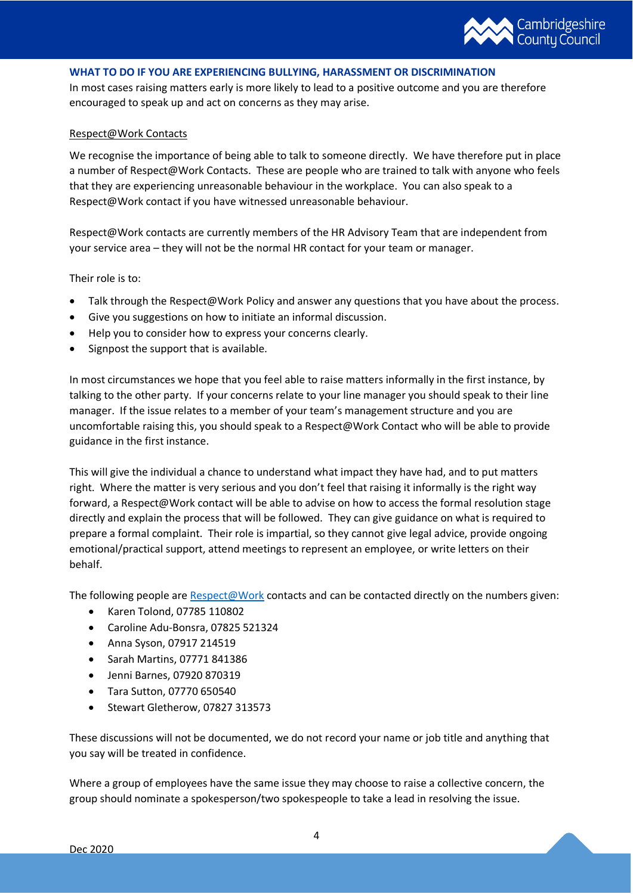

## **WHAT TO DO IF YOU ARE EXPERIENCING BULLYING, HARASSMENT OR DISCRIMINATION**

In most cases raising matters early is more likely to lead to a positive outcome and you are therefore encouraged to speak up and act on concerns as they may arise.

#### Respect@Work Contacts

We recognise the importance of being able to talk to someone directly. We have therefore put in place a number of Respect@Work Contacts. These are people who are trained to talk with anyone who feels that they are experiencing unreasonable behaviour in the workplace. You can also speak to a Respect@Work contact if you have witnessed unreasonable behaviour.

Respect@Work contacts are currently members of the HR Advisory Team that are independent from your service area – they will not be the normal HR contact for your team or manager.

## Their role is to:

- Talk through the Respect@Work Policy and answer any questions that you have about the process.
- Give you suggestions on how to initiate an informal discussion.
- Help you to consider how to express your concerns clearly.
- Signpost the support that is available.

In most circumstances we hope that you feel able to raise matters informally in the first instance, by talking to the other party. If your concerns relate to your line manager you should speak to their line manager. If the issue relates to a member of your team's management structure and you are uncomfortable raising this, you should speak to a Respect@Work Contact who will be able to provide guidance in the first instance.

This will give the individual a chance to understand what impact they have had, and to put matters right. Where the matter is very serious and you don't feel that raising it informally is the right way forward, a Respect@Work contact will be able to advise on how to access the formal resolution stage directly and explain the process that will be followed. They can give guidance on what is required to prepare a formal complaint. Their role is impartial, so they cannot give legal advice, provide ongoing emotional/practical support, attend meetings to represent an employee, or write letters on their behalf.

The following people are  $Respect@Work$  contacts and can be contacted directly on the numbers given:

- Karen Tolond, 07785 110802
- Caroline Adu-Bonsra, 07825 521324
- Anna Syson, 07917 214519
- Sarah Martins, 07771 841386
- Jenni Barnes, 07920 870319
- Tara Sutton, 07770 650540
- Stewart Gletherow, 07827 313573

These discussions will not be documented, we do not record your name or job title and anything that you say will be treated in confidence.

Where a group of employees have the same issue they may choose to raise a collective concern, the group should nominate a spokesperson/two spokespeople to take a lead in resolving the issue.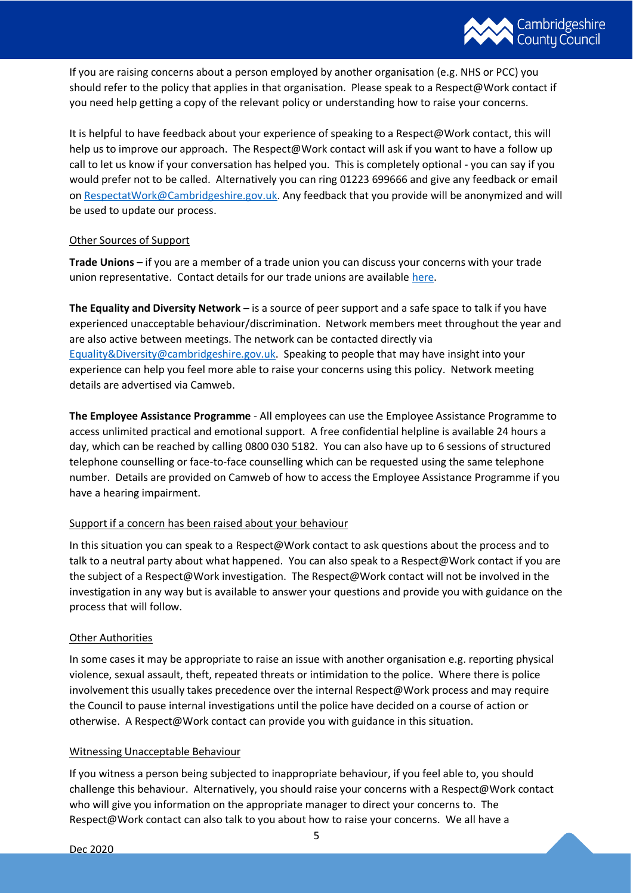

If you are raising concerns about a person employed by another organisation (e.g. NHS or PCC) you should refer to the policy that applies in that organisation. Please speak to a Respect@Work contact if you need help getting a copy of the relevant policy or understanding how to raise your concerns.

It is helpful to have feedback about your experience of speaking to a Respect@Work contact, this will help us to improve our approach. The Respect@Work contact will ask if you want to have a follow up call to let us know if your conversation has helped you. This is completely optional - you can say if you would prefer not to be called. Alternatively you can ring 01223 699666 and give any feedback or email on [RespectatWork@Cambridgeshire.gov.uk.](mailto:RespectatWork@Cambridgeshire.gov.uk) Any feedback that you provide will be anonymized and will be used to update our process.

## Other Sources of Support

**Trade Unions** – if you are a member of a trade union you can discuss your concerns with your trade union representative. Contact details for our trade unions are availabl[e here.](https://cccandpcc.sharepoint.com/:w:/r/sites/CCCHR/_layouts/15/Doc.aspx?sourcedoc=%7B3C62F3FB-4B43-4603-B03A-DFD522254F39%7D&file=Trade%20Unions%20Summary.docx&action=default&mobileredirect=true&DefaultItemOpen=1)

**The Equality and Diversity Network** – is a source of peer support and a safe space to talk if you have experienced unacceptable behaviour/discrimination. Network members meet throughout the year and are also active between meetings. The network can be contacted directly via [Equality&Diversity@cambridgeshire.gov.uk.](mailto:Equality&Diversity@cambridgeshire.gov.uk) Speaking to people that may have insight into your experience can help you feel more able to raise your concerns using this policy. Network meeting details are advertised via Camweb.

**The Employee Assistance Programme** - All employees can use the Employee Assistance Programme to access unlimited practical and emotional support. A free confidential helpline is available 24 hours a day, which can be reached by calling 0800 030 5182. You can also have up to 6 sessions of structured telephone counselling or face-to-face counselling which can be requested using the same telephone number. Details are provided on Camweb of how to access the Employee Assistance Programme if you have a hearing impairment.

# Support if a concern has been raised about your behaviour

In this situation you can speak to a Respect@Work contact to ask questions about the process and to talk to a neutral party about what happened. You can also speak to a Respect@Work contact if you are the subject of a Respect@Work investigation. The Respect@Work contact will not be involved in the investigation in any way but is available to answer your questions and provide you with guidance on the process that will follow.

#### Other Authorities

In some cases it may be appropriate to raise an issue with another organisation e.g. reporting physical violence, sexual assault, theft, repeated threats or intimidation to the police. Where there is police involvement this usually takes precedence over the internal Respect@Work process and may require the Council to pause internal investigations until the police have decided on a course of action or otherwise. A Respect@Work contact can provide you with guidance in this situation.

#### Witnessing Unacceptable Behaviour

If you witness a person being subjected to inappropriate behaviour, if you feel able to, you should challenge this behaviour. Alternatively, you should raise your concerns with a Respect@Work contact who will give you information on the appropriate manager to direct your concerns to. The Respect@Work contact can also talk to you about how to raise your concerns. We all have a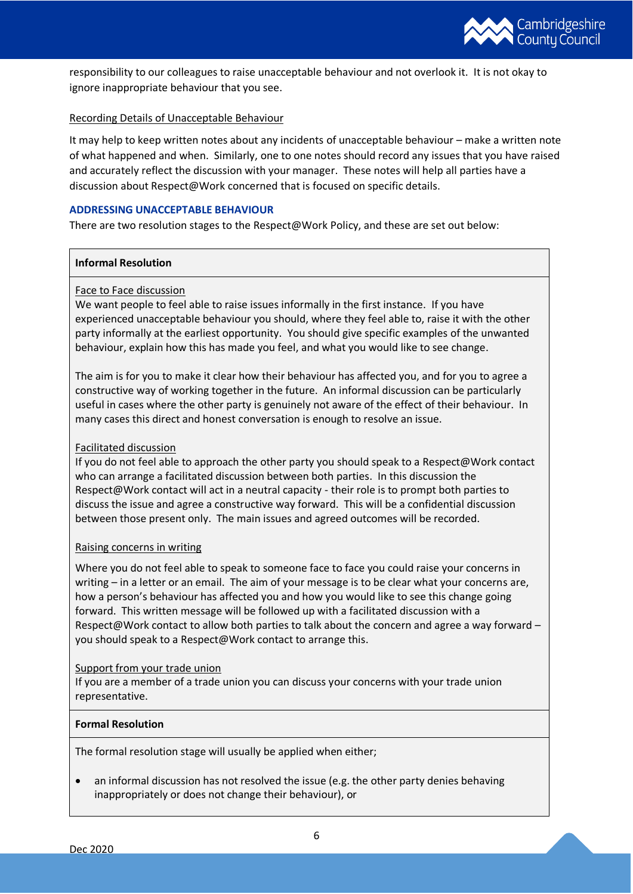

responsibility to our colleagues to raise unacceptable behaviour and not overlook it. It is not okay to ignore inappropriate behaviour that you see.

# Recording Details of Unacceptable Behaviour

It may help to keep written notes about any incidents of unacceptable behaviour – make a written note of what happened and when. Similarly, one to one notes should record any issues that you have raised and accurately reflect the discussion with your manager. These notes will help all parties have a discussion about Respect@Work concerned that is focused on specific details.

## **ADDRESSING UNACCEPTABLE BEHAVIOUR**

There are two resolution stages to the Respect@Work Policy, and these are set out below:

## **Informal Resolution**

# Face to Face discussion

We want people to feel able to raise issues informally in the first instance. If you have experienced unacceptable behaviour you should, where they feel able to, raise it with the other party informally at the earliest opportunity. You should give specific examples of the unwanted behaviour, explain how this has made you feel, and what you would like to see change.

The aim is for you to make it clear how their behaviour has affected you, and for you to agree a constructive way of working together in the future. An informal discussion can be particularly useful in cases where the other party is genuinely not aware of the effect of their behaviour. In many cases this direct and honest conversation is enough to resolve an issue.

# Facilitated discussion

If you do not feel able to approach the other party you should speak to a Respect@Work contact who can arrange a facilitated discussion between both parties. In this discussion the Respect@Work contact will act in a neutral capacity - their role is to prompt both parties to discuss the issue and agree a constructive way forward. This will be a confidential discussion between those present only. The main issues and agreed outcomes will be recorded.

#### Raising concerns in writing

Where you do not feel able to speak to someone face to face you could raise your concerns in writing – in a letter or an email. The aim of your message is to be clear what your concerns are, how a person's behaviour has affected you and how you would like to see this change going forward. This written message will be followed up with a facilitated discussion with a Respect@Work contact to allow both parties to talk about the concern and agree a way forward – you should speak to a Respect@Work contact to arrange this.

#### Support from your trade union

If you are a member of a trade union you can discuss your concerns with your trade union representative.

# **Formal Resolution**

The formal resolution stage will usually be applied when either;

• an informal discussion has not resolved the issue (e.g. the other party denies behaving inappropriately or does not change their behaviour), or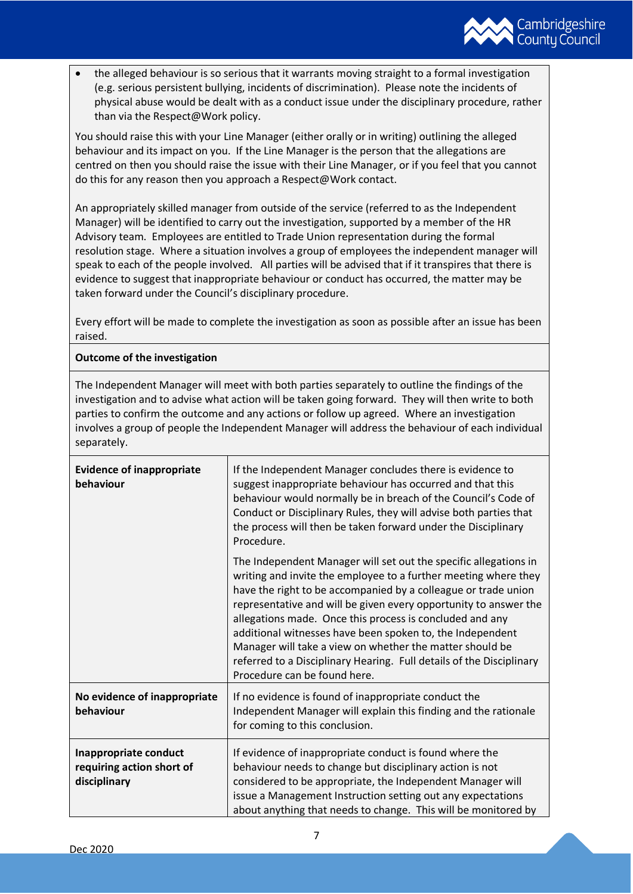

• the alleged behaviour is so serious that it warrants moving straight to a formal investigation (e.g. serious persistent bullying, incidents of discrimination). Please note the incidents of physical abuse would be dealt with as a conduct issue under the disciplinary procedure, rather than via the Respect@Work policy.

You should raise this with your Line Manager (either orally or in writing) outlining the alleged behaviour and its impact on you. If the Line Manager is the person that the allegations are centred on then you should raise the issue with their Line Manager, or if you feel that you cannot do this for any reason then you approach a Respect@Work contact.

An appropriately skilled manager from outside of the service (referred to as the Independent Manager) will be identified to carry out the investigation, supported by a member of the HR Advisory team. Employees are entitled to Trade Union representation during the formal resolution stage. Where a situation involves a group of employees the independent manager will speak to each of the people involved. All parties will be advised that if it transpires that there is evidence to suggest that inappropriate behaviour or conduct has occurred, the matter may be taken forward under the Council's disciplinary procedure.

Every effort will be made to complete the investigation as soon as possible after an issue has been raised.

# **Outcome of the investigation**

The Independent Manager will meet with both parties separately to outline the findings of the investigation and to advise what action will be taken going forward. They will then write to both parties to confirm the outcome and any actions or follow up agreed. Where an investigation involves a group of people the Independent Manager will address the behaviour of each individual separately.

| <b>Evidence of inappropriate</b><br>behaviour                      | If the Independent Manager concludes there is evidence to<br>suggest inappropriate behaviour has occurred and that this<br>behaviour would normally be in breach of the Council's Code of<br>Conduct or Disciplinary Rules, they will advise both parties that<br>the process will then be taken forward under the Disciplinary<br>Procedure.                                                                                                                                                                                                                          |
|--------------------------------------------------------------------|------------------------------------------------------------------------------------------------------------------------------------------------------------------------------------------------------------------------------------------------------------------------------------------------------------------------------------------------------------------------------------------------------------------------------------------------------------------------------------------------------------------------------------------------------------------------|
|                                                                    | The Independent Manager will set out the specific allegations in<br>writing and invite the employee to a further meeting where they<br>have the right to be accompanied by a colleague or trade union<br>representative and will be given every opportunity to answer the<br>allegations made. Once this process is concluded and any<br>additional witnesses have been spoken to, the Independent<br>Manager will take a view on whether the matter should be<br>referred to a Disciplinary Hearing. Full details of the Disciplinary<br>Procedure can be found here. |
| No evidence of inappropriate<br>behaviour                          | If no evidence is found of inappropriate conduct the<br>Independent Manager will explain this finding and the rationale<br>for coming to this conclusion.                                                                                                                                                                                                                                                                                                                                                                                                              |
| Inappropriate conduct<br>requiring action short of<br>disciplinary | If evidence of inappropriate conduct is found where the<br>behaviour needs to change but disciplinary action is not<br>considered to be appropriate, the Independent Manager will<br>issue a Management Instruction setting out any expectations<br>about anything that needs to change. This will be monitored by                                                                                                                                                                                                                                                     |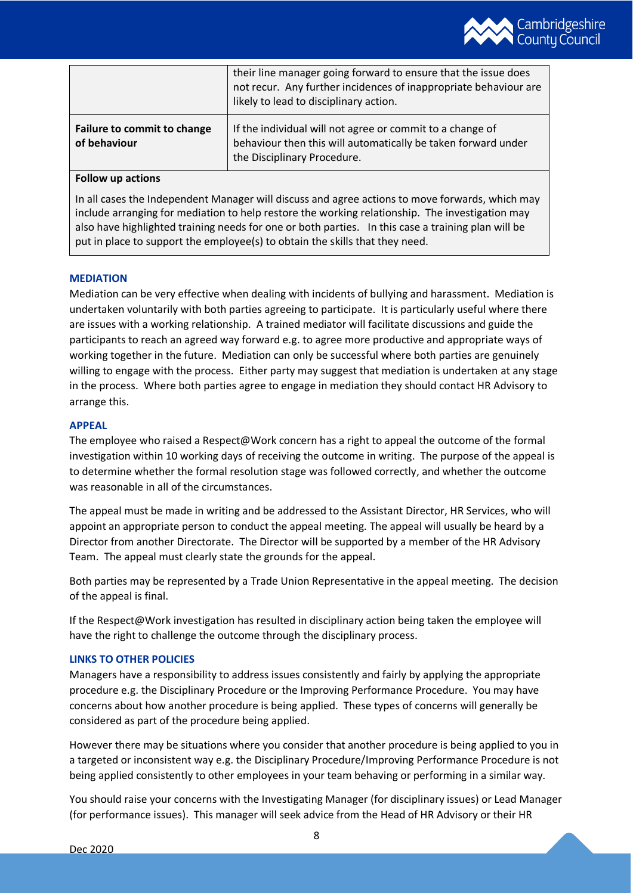

|                                             | their line manager going forward to ensure that the issue does<br>not recur. Any further incidences of inappropriate behaviour are<br>likely to lead to disciplinary action. |
|---------------------------------------------|------------------------------------------------------------------------------------------------------------------------------------------------------------------------------|
| Failure to commit to change<br>of behaviour | If the individual will not agree or commit to a change of<br>behaviour then this will automatically be taken forward under<br>the Disciplinary Procedure.                    |

## **Follow up actions**

In all cases the Independent Manager will discuss and agree actions to move forwards, which may include arranging for mediation to help restore the working relationship. The investigation may also have highlighted training needs for one or both parties. In this case a training plan will be put in place to support the employee(s) to obtain the skills that they need.

## **MEDIATION**

Mediation can be very effective when dealing with incidents of bullying and harassment. Mediation is undertaken voluntarily with both parties agreeing to participate. It is particularly useful where there are issues with a working relationship. A trained mediator will facilitate discussions and guide the participants to reach an agreed way forward e.g. to agree more productive and appropriate ways of working together in the future. Mediation can only be successful where both parties are genuinely willing to engage with the process. Either party may suggest that mediation is undertaken at any stage in the process. Where both parties agree to engage in mediation they should contact HR Advisory to arrange this.

## **APPEAL**

The employee who raised a Respect@Work concern has a right to appeal the outcome of the formal investigation within 10 working days of receiving the outcome in writing. The purpose of the appeal is to determine whether the formal resolution stage was followed correctly, and whether the outcome was reasonable in all of the circumstances.

The appeal must be made in writing and be addressed to the Assistant Director, HR Services, who will appoint an appropriate person to conduct the appeal meeting. The appeal will usually be heard by a Director from another Directorate. The Director will be supported by a member of the HR Advisory Team. The appeal must clearly state the grounds for the appeal.

Both parties may be represented by a Trade Union Representative in the appeal meeting. The decision of the appeal is final.

If the Respect@Work investigation has resulted in disciplinary action being taken the employee will have the right to challenge the outcome through the disciplinary process.

#### **LINKS TO OTHER POLICIES**

Managers have a responsibility to address issues consistently and fairly by applying the appropriate procedure e.g. the Disciplinary Procedure or the Improving Performance Procedure. You may have concerns about how another procedure is being applied. These types of concerns will generally be considered as part of the procedure being applied.

However there may be situations where you consider that another procedure is being applied to you in a targeted or inconsistent way e.g. the Disciplinary Procedure/Improving Performance Procedure is not being applied consistently to other employees in your team behaving or performing in a similar way.

You should raise your concerns with the Investigating Manager (for disciplinary issues) or Lead Manager (for performance issues). This manager will seek advice from the Head of HR Advisory or their HR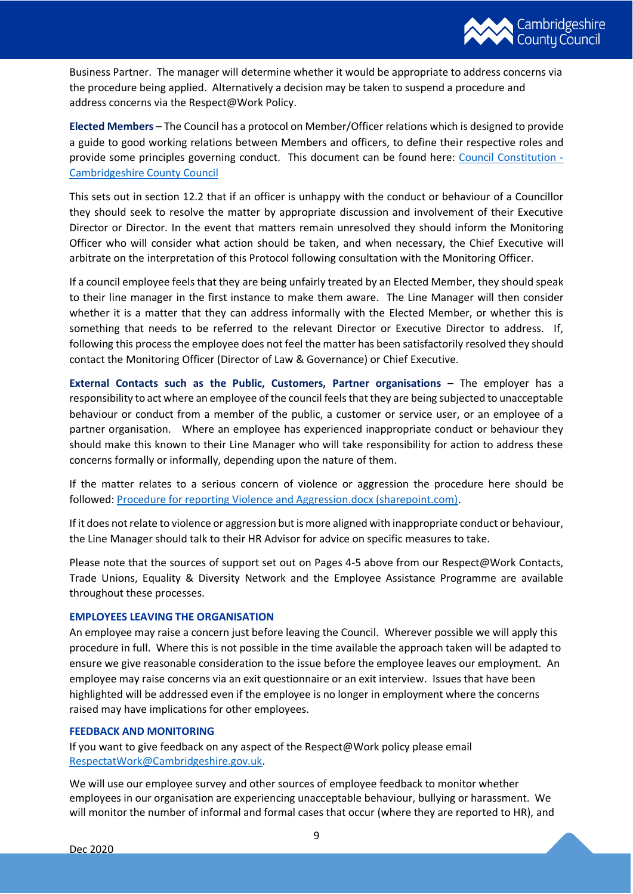

Business Partner. The manager will determine whether it would be appropriate to address concerns via the procedure being applied. Alternatively a decision may be taken to suspend a procedure and address concerns via the Respect@Work Policy.

**Elected Members** – The Council has a protocol on Member/Officer relations which is designed to provide a guide to good working relations between Members and officers, to define their respective roles and provide some principles governing conduct. This document can be found here: [Council Constitution -](https://www.cambridgeshire.gov.uk/council/meetings-and-decisions/council-constitution) [Cambridgeshire County Council](https://www.cambridgeshire.gov.uk/council/meetings-and-decisions/council-constitution)

This sets out in section 12.2 that if an officer is unhappy with the conduct or behaviour of a Councillor they should seek to resolve the matter by appropriate discussion and involvement of their Executive Director or Director. In the event that matters remain unresolved they should inform the Monitoring Officer who will consider what action should be taken, and when necessary, the Chief Executive will arbitrate on the interpretation of this Protocol following consultation with the Monitoring Officer.

If a council employee feels that they are being unfairly treated by an Elected Member, they should speak to their line manager in the first instance to make them aware. The Line Manager will then consider whether it is a matter that they can address informally with the Elected Member, or whether this is something that needs to be referred to the relevant Director or Executive Director to address. If, following this process the employee does not feel the matter has been satisfactorily resolved they should contact the Monitoring Officer (Director of Law & Governance) or Chief Executive.

**External Contacts such as the Public, Customers, Partner organisations - The employer has a** responsibility to act where an employee of the council feels that they are being subjected to unacceptable behaviour or conduct from a member of the public, a customer or service user, or an employee of a partner organisation. Where an employee has experienced inappropriate conduct or behaviour they should make this known to their Line Manager who will take responsibility for action to address these concerns formally or informally, depending upon the nature of them.

If the matter relates to a serious concern of violence or aggression the procedure here should be followed: [Procedure for reporting Violence and Aggression.docx \(sharepoint.com\).](https://cccandpcc.sharepoint.com/:w:/r/sites/CCCHealthSafety/_layouts/15/Doc.aspx?sourcedoc=%7B3A63D264-1ADA-42BA-8567-E8FCF6212C36%7D&file=Procedure%20for%20reporting%20Violence%20and%20Aggression.docx&action=default&mobileredirect=true)

If it does not relate to violence or aggression but is more aligned with inappropriate conduct or behaviour, the Line Manager should talk to their HR Advisor for advice on specific measures to take.

Please note that the sources of support set out on Pages 4-5 above from our Respect@Work Contacts, Trade Unions, Equality & Diversity Network and the Employee Assistance Programme are available throughout these processes.

#### **EMPLOYEES LEAVING THE ORGANISATION**

An employee may raise a concern just before leaving the Council. Wherever possible we will apply this procedure in full. Where this is not possible in the time available the approach taken will be adapted to ensure we give reasonable consideration to the issue before the employee leaves our employment. An employee may raise concerns via an exit questionnaire or an exit interview. Issues that have been highlighted will be addressed even if the employee is no longer in employment where the concerns raised may have implications for other employees.

#### **FEEDBACK AND MONITORING**

If you want to give feedback on any aspect of the Respect@Work policy please email [RespectatWork@Cambridgeshire.gov.uk.](mailto:RespectatWork@Cambridgeshire.gov.uk)

We will use our employee survey and other sources of employee feedback to monitor whether employees in our organisation are experiencing unacceptable behaviour, bullying or harassment. We will monitor the number of informal and formal cases that occur (where they are reported to HR), and